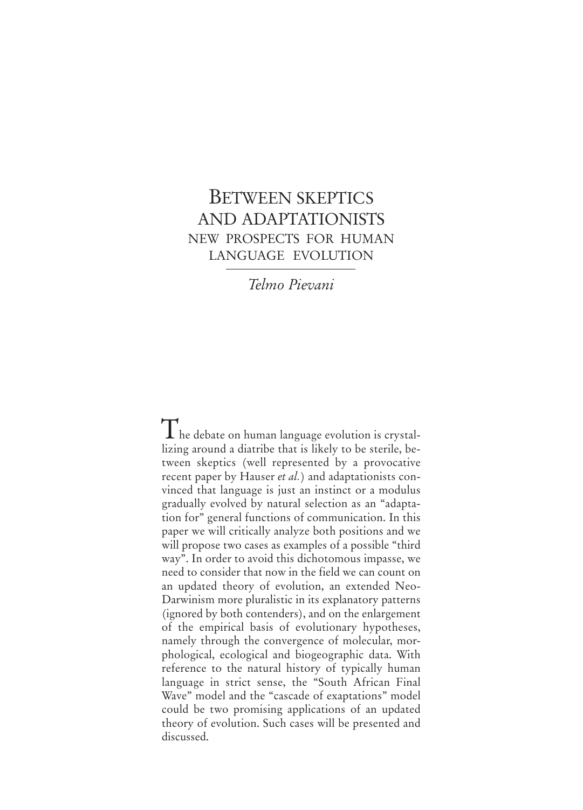# BETWEEN SKEPTICS AND ADAPTATIONISTS NEW PROSPECTS FOR HUMAN LANGUAGE EVOLUTION

*Telmo Pievani*

 $\rm{T}$  he debate on human language evolution is crystallizing around a diatribe that is likely to be sterile, between skeptics (well represented by a provocative recent paper by Hauser *et al.*) and adaptationists convinced that language is just an instinct or a modulus gradually evolved by natural selection as an "adaptation for" general functions of communication. In this paper we will critically analyze both positions and we will propose two cases as examples of a possible "third way". In order to avoid this dichotomous impasse, we need to consider that now in the field we can count on an updated theory of evolution, an extended Neo-Darwinism more pluralistic in its explanatory patterns (ignored by both contenders), and on the enlargement of the empirical basis of evolutionary hypotheses, namely through the convergence of molecular, morphological, ecological and biogeographic data. With reference to the natural history of typically human language in strict sense, the "South African Final Wave" model and the "cascade of exaptations" model could be two promising applications of an updated theory of evolution. Such cases will be presented and discussed.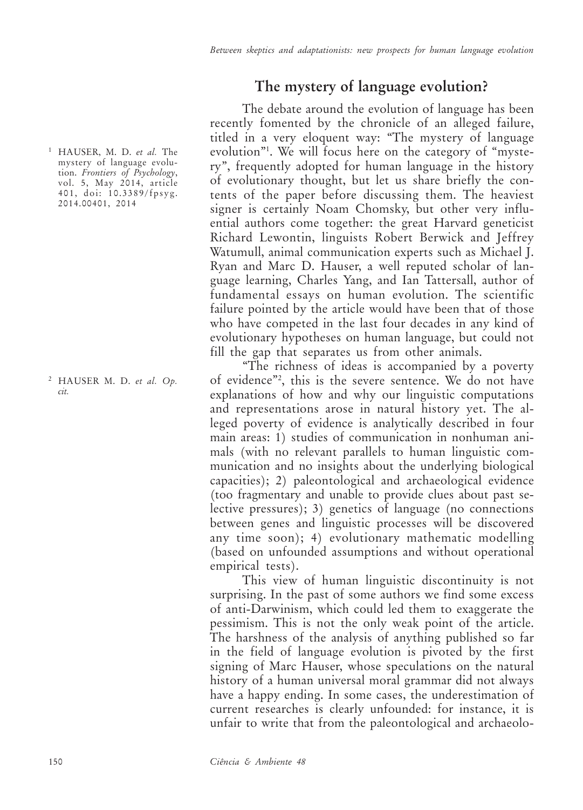### **The mystery of language evolution?**

The debate around the evolution of language has been recently fomented by the chronicle of an alleged failure, titled in a very eloquent way: "The mystery of language evolution"1 . We will focus here on the category of "mystery", frequently adopted for human language in the history of evolutionary thought, but let us share briefly the contents of the paper before discussing them. The heaviest signer is certainly Noam Chomsky, but other very influential authors come together: the great Harvard geneticist Richard Lewontin, linguists Robert Berwick and Jeffrey Watumull, animal communication experts such as Michael J. Ryan and Marc D. Hauser, a well reputed scholar of language learning, Charles Yang, and Ian Tattersall, author of fundamental essays on human evolution. The scientific failure pointed by the article would have been that of those who have competed in the last four decades in any kind of evolutionary hypotheses on human language, but could not fill the gap that separates us from other animals.

"The richness of ideas is accompanied by a poverty of evidence"2 , this is the severe sentence. We do not have explanations of how and why our linguistic computations and representations arose in natural history yet. The alleged poverty of evidence is analytically described in four main areas: 1) studies of communication in nonhuman animals (with no relevant parallels to human linguistic communication and no insights about the underlying biological capacities); 2) paleontological and archaeological evidence (too fragmentary and unable to provide clues about past selective pressures); 3) genetics of language (no connections between genes and linguistic processes will be discovered any time soon); 4) evolutionary mathematic modelling (based on unfounded assumptions and without operational empirical tests).

This view of human linguistic discontinuity is not surprising. In the past of some authors we find some excess of anti-Darwinism, which could led them to exaggerate the pessimism. This is not the only weak point of the article. The harshness of the analysis of anything published so far in the field of language evolution is pivoted by the first signing of Marc Hauser, whose speculations on the natural history of a human universal moral grammar did not always have a happy ending. In some cases, the underestimation of current researches is clearly unfounded: for instance, it is unfair to write that from the paleontological and archaeolo-

<sup>1</sup> HAUSER, M. D. *et al.* The mystery of language evolution. *Frontiers of Psychology*, vol. 5, May 2014, article 401, doi: 10.3389/fpsyg. 2014.00401, 2014

<sup>2</sup> HAUSER M. D. *et al. Op. cit.*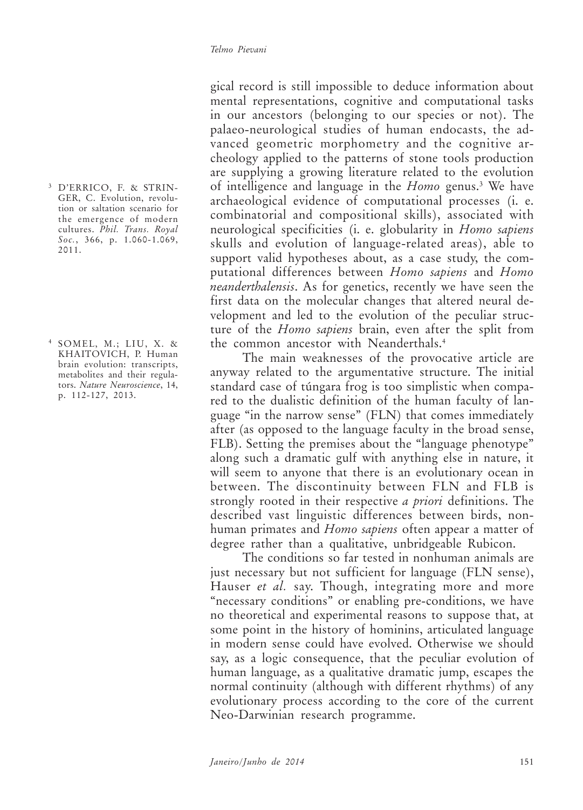<sup>3</sup> D'ERRICO, F. & STRIN-GER, C. Evolution, revolution or saltation scenario for the emergence of modern cultures. *Phil. Trans. Royal Soc.*, 366, p. 1.060-1.069, 2011.

<sup>4</sup> SOMEL, M.; LIU, X. & KHAITOVICH, P. Human brain evolution: transcripts, metabolites and their regulators. *Nature Neuroscience*, 14, p. 112-127, 2013.

gical record is still impossible to deduce information about mental representations, cognitive and computational tasks in our ancestors (belonging to our species or not). The palaeo-neurological studies of human endocasts, the advanced geometric morphometry and the cognitive archeology applied to the patterns of stone tools production are supplying a growing literature related to the evolution of intelligence and language in the *Homo* genus.3 We have archaeological evidence of computational processes (i. e. combinatorial and compositional skills), associated with neurological specificities (i. e. globularity in *Homo sapiens* skulls and evolution of language-related areas), able to support valid hypotheses about, as a case study, the computational differences between *Homo sapiens* and *Homo neanderthalensis*. As for genetics, recently we have seen the first data on the molecular changes that altered neural development and led to the evolution of the peculiar structure of the *Homo sapiens* brain, even after the split from the common ancestor with Neanderthals.4

The main weaknesses of the provocative article are anyway related to the argumentative structure. The initial standard case of túngara frog is too simplistic when compared to the dualistic definition of the human faculty of language "in the narrow sense" (FLN) that comes immediately after (as opposed to the language faculty in the broad sense, FLB). Setting the premises about the "language phenotype" along such a dramatic gulf with anything else in nature, it will seem to anyone that there is an evolutionary ocean in between. The discontinuity between FLN and FLB is strongly rooted in their respective *a priori* definitions. The described vast linguistic differences between birds, nonhuman primates and *Homo sapiens* often appear a matter of degree rather than a qualitative, unbridgeable Rubicon.

The conditions so far tested in nonhuman animals are just necessary but not sufficient for language (FLN sense), Hauser *et al.* say. Though, integrating more and more "necessary conditions" or enabling pre-conditions, we have no theoretical and experimental reasons to suppose that, at some point in the history of hominins, articulated language in modern sense could have evolved. Otherwise we should say, as a logic consequence, that the peculiar evolution of human language, as a qualitative dramatic jump, escapes the normal continuity (although with different rhythms) of any evolutionary process according to the core of the current Neo-Darwinian research programme.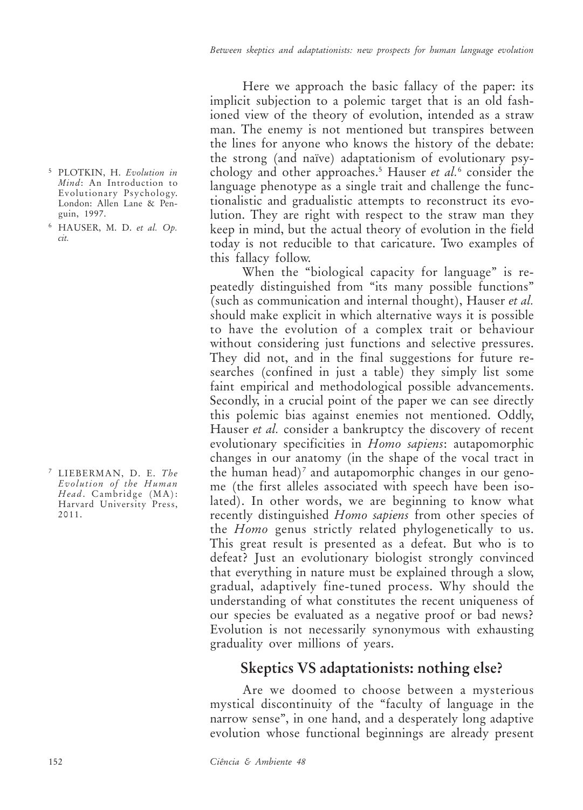- <sup>5</sup> PLOTKIN, H. *Evolution in Mind*: An Introduction to Evolutionary Psychology. London: Allen Lane & Penguin, 1997.
- <sup>6</sup> HAUSER, M. D. *et al. Op. cit.*

<sup>7</sup> LIEBERMAN, D. E. *The Evolution of the Human Head*. Cambridge (MA): Harvard University Press, 2011.

Here we approach the basic fallacy of the paper: its implicit subjection to a polemic target that is an old fashioned view of the theory of evolution, intended as a straw man. The enemy is not mentioned but transpires between the lines for anyone who knows the history of the debate: the strong (and naïve) adaptationism of evolutionary psychology and other approaches.5 Hauser *et al.*<sup>6</sup> consider the language phenotype as a single trait and challenge the functionalistic and gradualistic attempts to reconstruct its evolution. They are right with respect to the straw man they keep in mind, but the actual theory of evolution in the field today is not reducible to that caricature. Two examples of this fallacy follow.

When the "biological capacity for language" is repeatedly distinguished from "its many possible functions" (such as communication and internal thought), Hauser *et al.* should make explicit in which alternative ways it is possible to have the evolution of a complex trait or behaviour without considering just functions and selective pressures. They did not, and in the final suggestions for future researches (confined in just a table) they simply list some faint empirical and methodological possible advancements. Secondly, in a crucial point of the paper we can see directly this polemic bias against enemies not mentioned. Oddly, Hauser *et al.* consider a bankruptcy the discovery of recent evolutionary specificities in *Homo sapiens*: autapomorphic changes in our anatomy (in the shape of the vocal tract in the human head)<sup>7</sup> and autapomorphic changes in our genome (the first alleles associated with speech have been isolated). In other words, we are beginning to know what recently distinguished *Homo sapiens* from other species of the *Homo* genus strictly related phylogenetically to us. This great result is presented as a defeat. But who is to defeat? Just an evolutionary biologist strongly convinced that everything in nature must be explained through a slow, gradual, adaptively fine-tuned process. Why should the understanding of what constitutes the recent uniqueness of our species be evaluated as a negative proof or bad news? Evolution is not necessarily synonymous with exhausting graduality over millions of years.

### **Skeptics VS adaptationists: nothing else?**

Are we doomed to choose between a mysterious mystical discontinuity of the "faculty of language in the narrow sense", in one hand, and a desperately long adaptive evolution whose functional beginnings are already present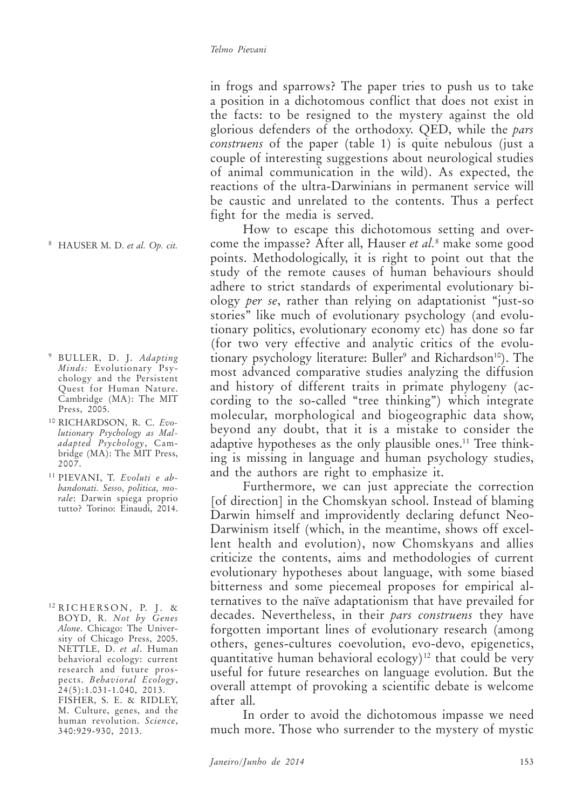in frogs and sparrows? The paper tries to push us to take a position in a dichotomous conflict that does not exist in the facts: to be resigned to the mystery against the old glorious defenders of the orthodoxy. QED, while the *pars construens* of the paper (table 1) is quite nebulous (just a couple of interesting suggestions about neurological studies of animal communication in the wild). As expected, the reactions of the ultra-Darwinians in permanent service will be caustic and unrelated to the contents. Thus a perfect fight for the media is served.

How to escape this dichotomous setting and overcome the impasse? After all, Hauser *et al.*<sup>8</sup> make some good points. Methodologically, it is right to point out that the study of the remote causes of human behaviours should adhere to strict standards of experimental evolutionary biology *per se*, rather than relying on adaptationist "just-so stories" like much of evolutionary psychology (and evolutionary politics, evolutionary economy etc) has done so far (for two very effective and analytic critics of the evolutionary psychology literature: Buller<sup>9</sup> and Richardson<sup>10</sup>). The most advanced comparative studies analyzing the diffusion and history of different traits in primate phylogeny (according to the so-called "tree thinking") which integrate molecular, morphological and biogeographic data show, beyond any doubt, that it is a mistake to consider the adaptive hypotheses as the only plausible ones.<sup>11</sup> Tree thinking is missing in language and human psychology studies, and the authors are right to emphasize it.

Furthermore, we can just appreciate the correction [of direction] in the Chomskyan school. Instead of blaming Darwin himself and improvidently declaring defunct Neo-Darwinism itself (which, in the meantime, shows off excellent health and evolution), now Chomskyans and allies criticize the contents, aims and methodologies of current evolutionary hypotheses about language, with some biased bitterness and some piecemeal proposes for empirical alternatives to the naïve adaptationism that have prevailed for decades. Nevertheless, in their *pars construens* they have forgotten important lines of evolutionary research (among others, genes-cultures coevolution, evo-devo, epigenetics, quantitative human behavioral ecology)<sup>12</sup> that could be very useful for future researches on language evolution. But the overall attempt of provoking a scientific debate is welcome after all.

In order to avoid the dichotomous impasse we need much more. Those who surrender to the mystery of mystic

<sup>8</sup> HAUSER M. D. *et al. Op. cit.*

- <sup>9</sup> BULLER, D. J. *Adapting Minds:* Evolutionary Psychology and the Persistent Quest for Human Nature. Cambridge (MA): The MIT Press, 2005.
- <sup>10</sup> RICHARDSON, R. C. *Evolutionary Psychology as Maladapted Psychology*, Cambridge (MA): The MIT Press, 2007.
- <sup>11</sup> PIEVANI, T. *Evoluti e abbandonati. Sesso, politica, morale*: Darwin spiega proprio tutto? Torino: Einaudi, 2014.

<sup>12</sup> RICHERSON, P. J. & BOYD, R. *Not by Genes Alone*. Chicago: The University of Chicago Press, 2005. NETTLE, D. *et al*. Human behavioral ecology: current research and future prospects. *Behavioral Ecology*, 24(5):1.031-1.040, 2013. FISHER, S. E. & RIDLEY, M. Culture, genes, and the human revolution. *Science*, 340:929-930, 2013.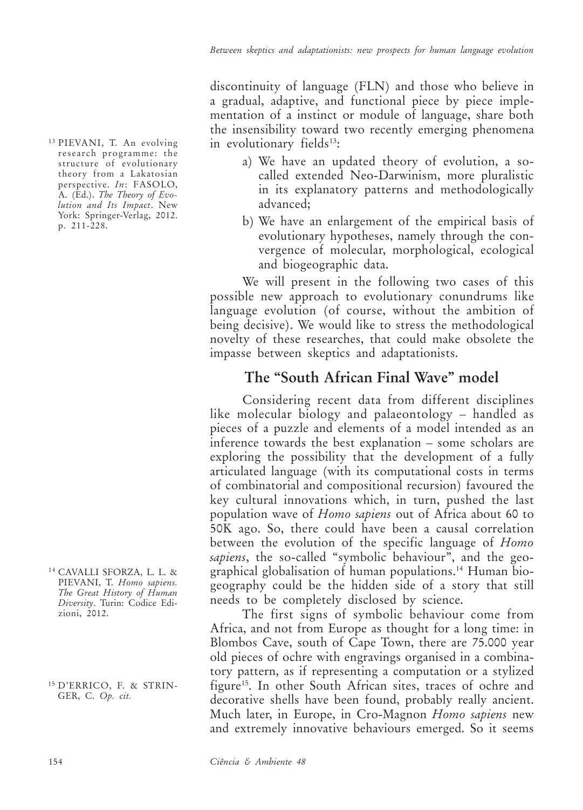discontinuity of language (FLN) and those who believe in a gradual, adaptive, and functional piece by piece implementation of a instinct or module of language, share both the insensibility toward two recently emerging phenomena in evolutionary fields<sup>13</sup>:

- a) We have an updated theory of evolution, a socalled extended Neo-Darwinism, more pluralistic in its explanatory patterns and methodologically advanced;
- b) We have an enlargement of the empirical basis of evolutionary hypotheses, namely through the convergence of molecular, morphological, ecological and biogeographic data.

We will present in the following two cases of this possible new approach to evolutionary conundrums like language evolution (of course, without the ambition of being decisive). We would like to stress the methodological novelty of these researches, that could make obsolete the impasse between skeptics and adaptationists.

## **The "South African Final Wave" model**

Considering recent data from different disciplines like molecular biology and palaeontology – handled as pieces of a puzzle and elements of a model intended as an inference towards the best explanation – some scholars are exploring the possibility that the development of a fully articulated language (with its computational costs in terms of combinatorial and compositional recursion) favoured the key cultural innovations which, in turn, pushed the last population wave of *Homo sapiens* out of Africa about 60 to 50K ago. So, there could have been a causal correlation between the evolution of the specific language of *Homo sapiens*, the so-called "symbolic behaviour", and the geographical globalisation of human populations.14 Human biogeography could be the hidden side of a story that still needs to be completely disclosed by science.

The first signs of symbolic behaviour come from Africa, and not from Europe as thought for a long time: in Blombos Cave, south of Cape Town, there are 75.000 year old pieces of ochre with engravings organised in a combinatory pattern, as if representing a computation or a stylized figure<sup>15</sup>. In other South African sites, traces of ochre and decorative shells have been found, probably really ancient. Much later, in Europe, in Cro-Magnon *Homo sapiens* new and extremely innovative behaviours emerged. So it seems

<sup>13</sup> PIEVANI, T. An evolving research programme: the structure of evolutionary theory from a Lakatosian perspective. *In*: FASOLO, A. (Ed.). *The Theory of Evolution and Its Impact*. New York: Springer-Verlag, 2012. p. 211-228.

- <sup>14</sup> CAVALLI SFORZA, L. L. & PIEVANI, T. *Homo sapiens. The Great History of Human Diversity*. Turin: Codice Edizioni, 2012.
- <sup>15</sup> D'ERRICO, F. & STRIN-GER, C. *Op. cit.*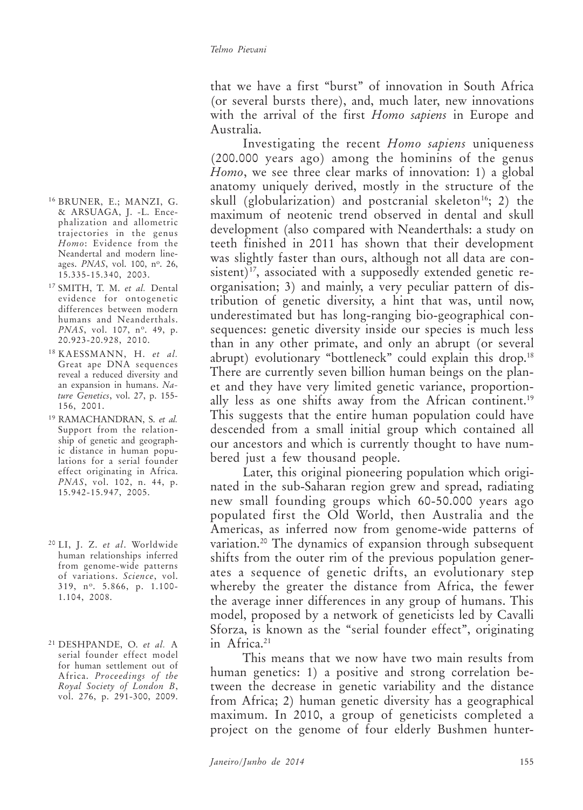that we have a first "burst" of innovation in South Africa (or several bursts there), and, much later, new innovations with the arrival of the first *Homo sapiens* in Europe and Australia.

Investigating the recent *Homo sapiens* uniqueness (200.000 years ago) among the hominins of the genus *Homo*, we see three clear marks of innovation: 1) a global anatomy uniquely derived, mostly in the structure of the skull (globularization) and postcranial skeleton<sup>16</sup>; 2) the maximum of neotenic trend observed in dental and skull development (also compared with Neanderthals: a study on teeth finished in 2011 has shown that their development was slightly faster than ours, although not all data are consistent)<sup>17</sup>, associated with a supposedly extended genetic reorganisation; 3) and mainly, a very peculiar pattern of distribution of genetic diversity, a hint that was, until now, underestimated but has long-ranging bio-geographical consequences: genetic diversity inside our species is much less than in any other primate, and only an abrupt (or several abrupt) evolutionary "bottleneck" could explain this drop.<sup>18</sup> There are currently seven billion human beings on the planet and they have very limited genetic variance, proportionally less as one shifts away from the African continent.<sup>19</sup> This suggests that the entire human population could have descended from a small initial group which contained all our ancestors and which is currently thought to have numbered just a few thousand people.

Later, this original pioneering population which originated in the sub-Saharan region grew and spread, radiating new small founding groups which 60-50.000 years ago populated first the Old World, then Australia and the Americas, as inferred now from genome-wide patterns of variation.20 The dynamics of expansion through subsequent shifts from the outer rim of the previous population generates a sequence of genetic drifts, an evolutionary step whereby the greater the distance from Africa, the fewer the average inner differences in any group of humans. This model, proposed by a network of geneticists led by Cavalli Sforza, is known as the "serial founder effect", originating in Africa.<sup>21</sup>

This means that we now have two main results from human genetics: 1) a positive and strong correlation between the decrease in genetic variability and the distance from Africa; 2) human genetic diversity has a geographical maximum. In 2010, a group of geneticists completed a project on the genome of four elderly Bushmen hunter-

- <sup>16</sup> BRUNER, E.; MANZI, G. & ARSUAGA, J. -L. Encephalization and allometric trajectories in the genus *Homo*: Evidence from the Neandertal and modern lineages. *PNAS*, vol. 100, nº. 26, 15.335-15.340, 2003.
- <sup>17</sup> SMITH, T. M. *et al.* Dental evidence for ontogenetic differences between modern humans and Neanderthals. *PNAS*, vol. 107, n<sup>o</sup>. 49, p. 20.923-20.928, 2010.
- <sup>18</sup> KAESSMANN, H. *et al.* Great ape DNA sequences reveal a reduced diversity and an expansion in humans. *Nature Genetics*, vol. 27, p. 155- 156, 2001.
- <sup>19</sup> RAMACHANDRAN, S. *et al.* Support from the relationship of genetic and geographic distance in human populations for a serial founder effect originating in Africa. *PNAS*, vol. 102, n. 44, p. 15.942-15.947, 2005.
- <sup>20</sup> LI, J. Z. *et al*. Worldwide human relationships inferred from genome-wide patterns of variations. *Science*, vol. 319, n<sup>o</sup>. 5.866, p. 1.100-1.104, 2008.
- <sup>21</sup> DESHPANDE, O. *et al.* A serial founder effect model for human settlement out of Africa. *Proceedings of the Royal Society of London B*, vol. 276, p. 291-300, 2009.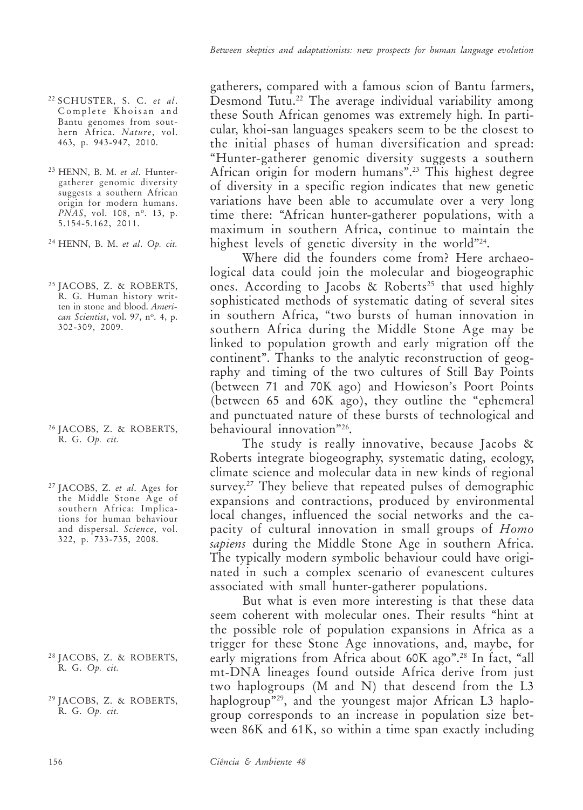- <sup>22</sup> SCHUSTER, S. C. *et al*. Complete Khoisan and Bantu genomes from southern Africa. *Nature*, vol. 463, p. 943-947, 2010.
- <sup>23</sup> HENN, B. M. *et al*. Huntergatherer genomic diversity suggests a southern African origin for modern humans. *PNAS*, vol. 108, n<sup>o</sup>. 13, p. 5.154-5.162, 2011.

<sup>24</sup> HENN, B. M. *et al*. *Op. cit.*

<sup>25</sup> JACOBS, Z. & ROBERTS, R. G. Human history written in stone and blood. *American Scientist*, vol. 97, n<sup>o</sup>. 4, p. 302-309, 2009.

- <sup>26</sup> JACOBS, Z. & ROBERTS, R. G. *Op. cit.*
- <sup>27</sup> JACOBS, Z. *et al*. Ages for the Middle Stone Age of southern Africa: Implications for human behaviour and dispersal. *Science*, vol. 322, p. 733-735, 2008.

- <sup>28</sup> JACOBS, Z. & ROBERTS, R. G. *Op. cit.*
- <sup>29</sup> JACOBS, Z. & ROBERTS, R. G. *Op. cit.*

gatherers, compared with a famous scion of Bantu farmers, Desmond Tutu.<sup>22</sup> The average individual variability among these South African genomes was extremely high. In particular, khoi-san languages speakers seem to be the closest to the initial phases of human diversification and spread: "Hunter-gatherer genomic diversity suggests a southern African origin for modern humans".23 This highest degree of diversity in a specific region indicates that new genetic variations have been able to accumulate over a very long time there: "African hunter-gatherer populations, with a maximum in southern Africa, continue to maintain the highest levels of genetic diversity in the world"24.

Where did the founders come from? Here archaeological data could join the molecular and biogeographic ones. According to Jacobs & Roberts<sup>25</sup> that used highly sophisticated methods of systematic dating of several sites in southern Africa, "two bursts of human innovation in southern Africa during the Middle Stone Age may be linked to population growth and early migration off the continent". Thanks to the analytic reconstruction of geography and timing of the two cultures of Still Bay Points (between 71 and 70K ago) and Howieson's Poort Points (between 65 and 60K ago), they outline the "ephemeral and punctuated nature of these bursts of technological and behavioural innovation"26.

The study is really innovative, because Jacobs & Roberts integrate biogeography, systematic dating, ecology, climate science and molecular data in new kinds of regional survey.<sup>27</sup> They believe that repeated pulses of demographic expansions and contractions, produced by environmental local changes, influenced the social networks and the capacity of cultural innovation in small groups of *Homo sapiens* during the Middle Stone Age in southern Africa. The typically modern symbolic behaviour could have originated in such a complex scenario of evanescent cultures associated with small hunter-gatherer populations.

But what is even more interesting is that these data seem coherent with molecular ones. Their results "hint at the possible role of population expansions in Africa as a trigger for these Stone Age innovations, and, maybe, for early migrations from Africa about 60K ago".<sup>28</sup> In fact, "all mt-DNA lineages found outside Africa derive from just two haplogroups (M and N) that descend from the L3 haplogroup"29, and the youngest major African L3 haplogroup corresponds to an increase in population size between 86K and 61K, so within a time span exactly including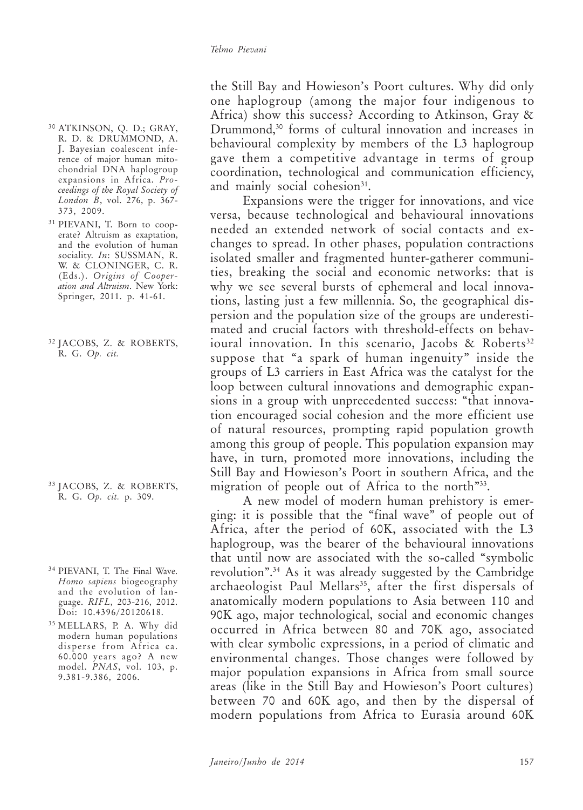- <sup>30</sup> ATKINSON, Q. D.; GRAY, R. D. & DRUMMOND, A. J. Bayesian coalescent inference of major human mitochondrial DNA haplogroup expansions in Africa. *Proceedings of the Royal Society of London B*, vol. 276, p. 367- 373, 2009.
- <sup>31</sup> PIEVANI, T. Born to cooperate? Altruism as exaptation, and the evolution of human sociality. *In*: SUSSMAN, R. W. & CLONINGER, C. R. (Eds.). *Origins of Cooperation and Altruism*. New York: Springer, 2011. p. 41-61.
- <sup>32</sup> JACOBS, Z. & ROBERTS, R. G. *Op. cit.*

- <sup>33</sup> JACOBS, Z. & ROBERTS, R. G. *Op. cit.* p. 309.
- <sup>34</sup> PIEVANI, T. The Final Wave. *Homo sapiens* biogeography and the evolution of language. *RIFL*, 203-216, 2012. Doi: 10.4396/20120618.
- <sup>35</sup> MELLARS, P. A. Why did modern human populations disperse from Africa ca. 60.000 years ago? A new model. *PNAS*, vol. 103, p. 9.381-9.386, 2006.

the Still Bay and Howieson's Poort cultures. Why did only one haplogroup (among the major four indigenous to Africa) show this success? According to Atkinson, Gray & Drummond,30 forms of cultural innovation and increases in behavioural complexity by members of the L3 haplogroup gave them a competitive advantage in terms of group coordination, technological and communication efficiency, and mainly social cohesion<sup>31</sup>.

Expansions were the trigger for innovations, and vice versa, because technological and behavioural innovations needed an extended network of social contacts and exchanges to spread. In other phases, population contractions isolated smaller and fragmented hunter-gatherer communities, breaking the social and economic networks: that is why we see several bursts of ephemeral and local innovations, lasting just a few millennia. So, the geographical dispersion and the population size of the groups are underestimated and crucial factors with threshold-effects on behavioural innovation. In this scenario, Jacobs  $\&$  Roberts<sup>32</sup> suppose that "a spark of human ingenuity" inside the groups of L3 carriers in East Africa was the catalyst for the loop between cultural innovations and demographic expansions in a group with unprecedented success: "that innovation encouraged social cohesion and the more efficient use of natural resources, prompting rapid population growth among this group of people. This population expansion may have, in turn, promoted more innovations, including the Still Bay and Howieson's Poort in southern Africa, and the migration of people out of Africa to the north<sup>333</sup>.

A new model of modern human prehistory is emerging: it is possible that the "final wave" of people out of Africa, after the period of 60K, associated with the L3 haplogroup, was the bearer of the behavioural innovations that until now are associated with the so-called "symbolic revolution".34 As it was already suggested by the Cambridge archaeologist Paul Mellars<sup>35</sup>, after the first dispersals of anatomically modern populations to Asia between 110 and 90K ago, major technological, social and economic changes occurred in Africa between 80 and 70K ago, associated with clear symbolic expressions, in a period of climatic and environmental changes. Those changes were followed by major population expansions in Africa from small source areas (like in the Still Bay and Howieson's Poort cultures) between 70 and 60K ago, and then by the dispersal of modern populations from Africa to Eurasia around 60K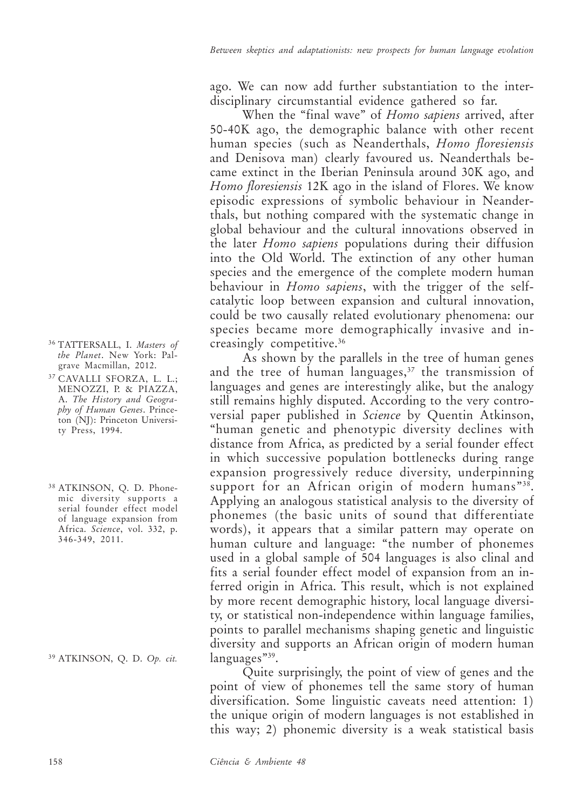ago. We can now add further substantiation to the interdisciplinary circumstantial evidence gathered so far.

When the "final wave" of *Homo sapiens* arrived, after 50-40K ago, the demographic balance with other recent human species (such as Neanderthals, *Homo floresiensis* and Denisova man) clearly favoured us. Neanderthals became extinct in the Iberian Peninsula around 30K ago, and *Homo floresiensis* 12K ago in the island of Flores. We know episodic expressions of symbolic behaviour in Neanderthals, but nothing compared with the systematic change in global behaviour and the cultural innovations observed in the later *Homo sapiens* populations during their diffusion into the Old World. The extinction of any other human species and the emergence of the complete modern human behaviour in *Homo sapiens*, with the trigger of the selfcatalytic loop between expansion and cultural innovation, could be two causally related evolutionary phenomena: our species became more demographically invasive and increasingly competitive.36

As shown by the parallels in the tree of human genes and the tree of human languages,<sup>37</sup> the transmission of languages and genes are interestingly alike, but the analogy still remains highly disputed. According to the very controversial paper published in *Science* by Quentin Atkinson, "human genetic and phenotypic diversity declines with distance from Africa, as predicted by a serial founder effect in which successive population bottlenecks during range expansion progressively reduce diversity, underpinning support for an African origin of modern humans"<sup>38</sup>. Applying an analogous statistical analysis to the diversity of phonemes (the basic units of sound that differentiate words), it appears that a similar pattern may operate on human culture and language: "the number of phonemes used in a global sample of 504 languages is also clinal and fits a serial founder effect model of expansion from an inferred origin in Africa. This result, which is not explained by more recent demographic history, local language diversity, or statistical non-independence within language families, points to parallel mechanisms shaping genetic and linguistic diversity and supports an African origin of modern human languages"<sup>39</sup>.

Quite surprisingly, the point of view of genes and the point of view of phonemes tell the same story of human diversification. Some linguistic caveats need attention: 1) the unique origin of modern languages is not established in this way; 2) phonemic diversity is a weak statistical basis

- <sup>36</sup> TATTERSALL, I. *Masters of the Planet*. New York: Palgrave Macmillan, 2012.
- <sup>37</sup> CAVALLI SFORZA, L. L.; MENOZZI, P. & PIAZZA, A. *The History and Geography of Human Genes*. Princeton (NJ): Princeton University Press, 1994.
- <sup>38</sup> ATKINSON, Q. D. Phonemic diversity supports a serial founder effect model of language expansion from Africa. *Science*, vol. 332, p. 346-349, 2011.

<sup>39</sup> ATKINSON, Q. D. *Op. cit.*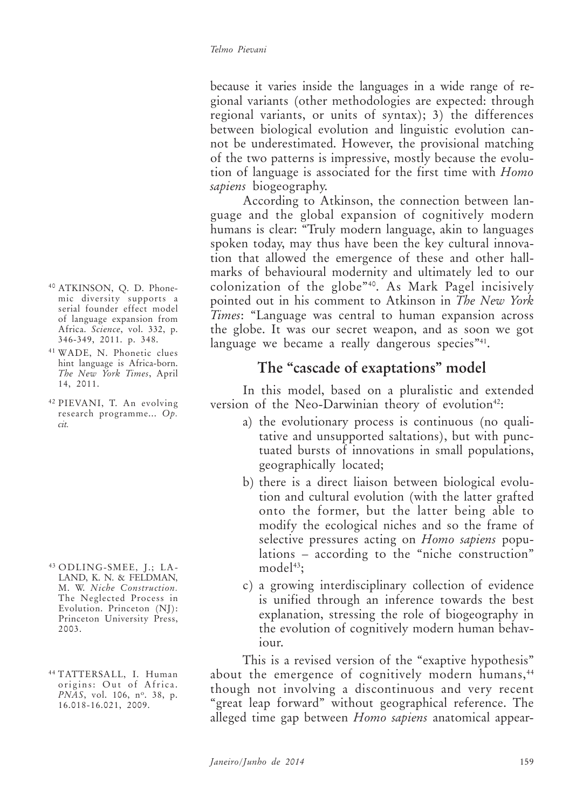because it varies inside the languages in a wide range of regional variants (other methodologies are expected: through regional variants, or units of syntax); 3) the differences between biological evolution and linguistic evolution cannot be underestimated. However, the provisional matching of the two patterns is impressive, mostly because the evolution of language is associated for the first time with *Homo sapiens* biogeography.

According to Atkinson, the connection between language and the global expansion of cognitively modern humans is clear: "Truly modern language, akin to languages spoken today, may thus have been the key cultural innovation that allowed the emergence of these and other hallmarks of behavioural modernity and ultimately led to our colonization of the globe"40. As Mark Pagel incisively pointed out in his comment to Atkinson in *The New York Times*: "Language was central to human expansion across the globe. It was our secret weapon, and as soon we got language we became a really dangerous species<sup>"41</sup>.

### **The "cascade of exaptations" model**

In this model, based on a pluralistic and extended version of the Neo-Darwinian theory of evolution<sup>42</sup>:

- a) the evolutionary process is continuous (no qualitative and unsupported saltations), but with punctuated bursts of innovations in small populations, geographically located;
- b) there is a direct liaison between biological evolution and cultural evolution (with the latter grafted onto the former, but the latter being able to modify the ecological niches and so the frame of selective pressures acting on *Homo sapiens* populations – according to the "niche construction" model<sup>43</sup>:
- c) a growing interdisciplinary collection of evidence is unified through an inference towards the best explanation, stressing the role of biogeography in the evolution of cognitively modern human behaviour.

This is a revised version of the "exaptive hypothesis" about the emergence of cognitively modern humans,<sup>44</sup> though not involving a discontinuous and very recent "great leap forward" without geographical reference. The alleged time gap between *Homo sapiens* anatomical appear-

- <sup>40</sup> ATKINSON, Q. D. Phonemic diversity supports a serial founder effect model of language expansion from Africa. *Science*, vol. 332, p. 346-349, 2011. p. 348.
- <sup>41</sup> WADE, N. Phonetic clues hint language is Africa-born. *The New York Times*, April 14, 2011.
- <sup>42</sup> PIEVANI, T. An evolving research programme... *Op. cit.*

<sup>43</sup> ODLING-SMEE, J.; LA-LAND, K. N. & FELDMAN, M. W. *Niche Construction.* The Neglected Process in Evolution. Princeton (NJ): Princeton University Press, 2003.

<sup>44</sup> TATTERSALL, I. Human origins: Out of Africa. *PNAS*, vol. 106, nº. 38, p. 16.018-16.021, 2009.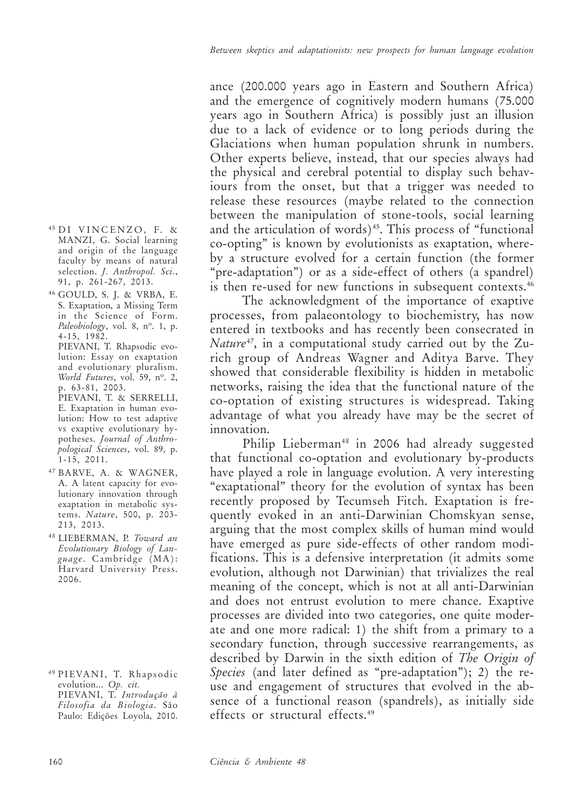- <sup>45</sup> DI VINCENZO, F. & MANZI, G. Social learning and origin of the language faculty by means of natural selection. *J. Anthropol. Sci.*, 91, p. 261-267, 2013.
- <sup>46</sup> GOULD, S. J. & VRBA, E. S. Exaptation, a Missing Term in the Science of Form. *Paleobiology*, vol. 8, n°. 1, p. 4-15, 1982.

PIEVANI, T. Rhapsodic evolution: Essay on exaptation and evolutionary pluralism. *World Futures*, vol. 59, n<sup>o</sup>. 2, p. 63-81, 2003. PIEVANI, T. & SERRELLI, E. Exaptation in human evolution: How to test adaptive vs exaptive evolutionary hypotheses. *Journal of Anthropological Sciences*, vol. 89, p.  $\overline{1}$ -15, 2011.

- <sup>47</sup> BARVE, A. & WAGNER, A. A latent capacity for evolutionary innovation through exaptation in metabolic systems. *Nature*, 500, p. 203- 213, 2013.
- <sup>48</sup> LIEBERMAN, P. *Toward an Evolutionary Biology of Language* . Cambridge (MA): Harvard University Press. 2006.

ance (200.000 years ago in Eastern and Southern Africa) and the emergence of cognitively modern humans (75.000 years ago in Southern Africa) is possibly just an illusion due to a lack of evidence or to long periods during the Glaciations when human population shrunk in numbers. Other experts believe, instead, that our species always had the physical and cerebral potential to display such behaviours from the onset, but that a trigger was needed to release these resources (maybe related to the connection between the manipulation of stone-tools, social learning and the articulation of words)<sup> $45$ </sup>. This process of "functional co-opting" is known by evolutionists as exaptation, whereby a structure evolved for a certain function (the former "pre-adaptation") or as a side-effect of others (a spandrel) is then re-used for new functions in subsequent contexts.<sup>46</sup>

The acknowledgment of the importance of exaptive processes, from palaeontology to biochemistry, has now entered in textbooks and has recently been consecrated in *Nature*47, in a computational study carried out by the Zurich group of Andreas Wagner and Aditya Barve. They showed that considerable flexibility is hidden in metabolic networks, raising the idea that the functional nature of the co-optation of existing structures is widespread. Taking advantage of what you already have may be the secret of innovation.

Philip Lieberman<sup>48</sup> in 2006 had already suggested that functional co-optation and evolutionary by-products have played a role in language evolution. A very interesting "exaptational" theory for the evolution of syntax has been recently proposed by Tecumseh Fitch. Exaptation is frequently evoked in an anti-Darwinian Chomskyan sense, arguing that the most complex skills of human mind would have emerged as pure side-effects of other random modifications. This is a defensive interpretation (it admits some evolution, although not Darwinian) that trivializes the real meaning of the concept, which is not at all anti-Darwinian and does not entrust evolution to mere chance. Exaptive processes are divided into two categories, one quite moderate and one more radical: 1) the shift from a primary to a secondary function, through successive rearrangements, as described by Darwin in the sixth edition of *The Origin of Species* (and later defined as "pre-adaptation"); 2) the reuse and engagement of structures that evolved in the absence of a functional reason (spandrels), as initially side effects or structural effects.49

<sup>49</sup> PIEVANI, T. Rhapsodic evolution... *Op. cit.* PIEVANI, T. *Introdução à Filosofia da Biologia*. São Paulo: Edições Loyola, 2010.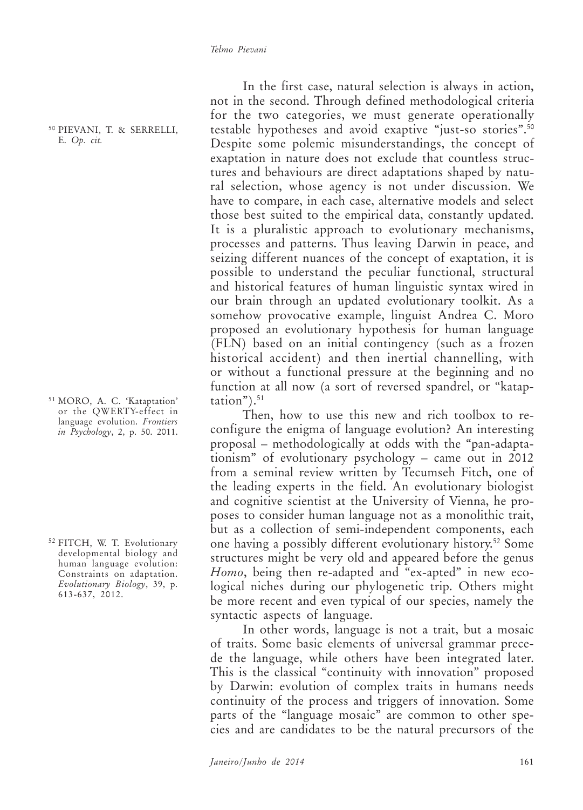<sup>50</sup> PIEVANI, T. & SERRELLI, E. *Op. cit.*

<sup>51</sup> MORO, A. C. 'Kataptation' or the QWERTY-effect in language evolution. *Frontiers in Psychology*, 2, p. 50. 2011.

<sup>52</sup> FITCH, W. T. Evolutionary developmental biology and human language evolution: Constraints on adaptation. *Evolutionary Biology*, 39, p. 613-637, 2012.

In the first case, natural selection is always in action, not in the second. Through defined methodological criteria for the two categories, we must generate operationally testable hypotheses and avoid exaptive "just-so stories".50 Despite some polemic misunderstandings, the concept of exaptation in nature does not exclude that countless structures and behaviours are direct adaptations shaped by natural selection, whose agency is not under discussion. We have to compare, in each case, alternative models and select those best suited to the empirical data, constantly updated. It is a pluralistic approach to evolutionary mechanisms, processes and patterns. Thus leaving Darwin in peace, and seizing different nuances of the concept of exaptation, it is possible to understand the peculiar functional, structural and historical features of human linguistic syntax wired in our brain through an updated evolutionary toolkit. As a somehow provocative example, linguist Andrea C. Moro proposed an evolutionary hypothesis for human language (FLN) based on an initial contingency (such as a frozen historical accident) and then inertial channelling, with or without a functional pressure at the beginning and no function at all now (a sort of reversed spandrel, or "katap- $\text{tation}$ "). $^{51}$ 

Then, how to use this new and rich toolbox to reconfigure the enigma of language evolution? An interesting proposal – methodologically at odds with the "pan-adaptationism" of evolutionary psychology – came out in 2012 from a seminal review written by Tecumseh Fitch, one of the leading experts in the field. An evolutionary biologist and cognitive scientist at the University of Vienna, he proposes to consider human language not as a monolithic trait, but as a collection of semi-independent components, each one having a possibly different evolutionary history.52 Some structures might be very old and appeared before the genus *Homo*, being then re-adapted and "ex-apted" in new ecological niches during our phylogenetic trip. Others might be more recent and even typical of our species, namely the syntactic aspects of language.

In other words, language is not a trait, but a mosaic of traits. Some basic elements of universal grammar precede the language, while others have been integrated later. This is the classical "continuity with innovation" proposed by Darwin: evolution of complex traits in humans needs continuity of the process and triggers of innovation. Some parts of the "language mosaic" are common to other species and are candidates to be the natural precursors of the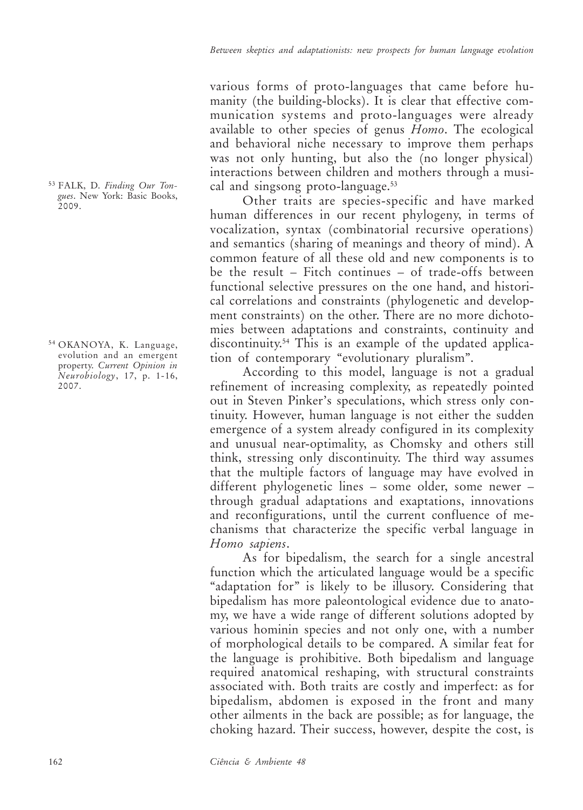various forms of proto-languages that came before humanity (the building-blocks). It is clear that effective communication systems and proto-languages were already available to other species of genus *Homo*. The ecological and behavioral niche necessary to improve them perhaps was not only hunting, but also the (no longer physical) interactions between children and mothers through a musical and singsong proto-language.<sup>53</sup>

Other traits are species-specific and have marked human differences in our recent phylogeny, in terms of vocalization, syntax (combinatorial recursive operations) and semantics (sharing of meanings and theory of mind). A common feature of all these old and new components is to be the result – Fitch continues – of trade-offs between functional selective pressures on the one hand, and historical correlations and constraints (phylogenetic and development constraints) on the other. There are no more dichotomies between adaptations and constraints, continuity and discontinuity.54 This is an example of the updated application of contemporary "evolutionary pluralism".

According to this model, language is not a gradual refinement of increasing complexity, as repeatedly pointed out in Steven Pinker's speculations, which stress only continuity. However, human language is not either the sudden emergence of a system already configured in its complexity and unusual near-optimality, as Chomsky and others still think, stressing only discontinuity. The third way assumes that the multiple factors of language may have evolved in different phylogenetic lines – some older, some newer – through gradual adaptations and exaptations, innovations and reconfigurations, until the current confluence of mechanisms that characterize the specific verbal language in *Homo sapiens*.

As for bipedalism, the search for a single ancestral function which the articulated language would be a specific "adaptation for" is likely to be illusory. Considering that bipedalism has more paleontological evidence due to anatomy, we have a wide range of different solutions adopted by various hominin species and not only one, with a number of morphological details to be compared. A similar feat for the language is prohibitive. Both bipedalism and language required anatomical reshaping, with structural constraints associated with. Both traits are costly and imperfect: as for bipedalism, abdomen is exposed in the front and many other ailments in the back are possible; as for language, the choking hazard. Their success, however, despite the cost, is

<sup>53</sup> FALK, D. *Finding Our Tongues*. New York: Basic Books, 2009.

<sup>54</sup> OKANOYA, K. Language, evolution and an emergent property. *Current Opinion in Neurobiology*, 17, p. 1-16, 2007.